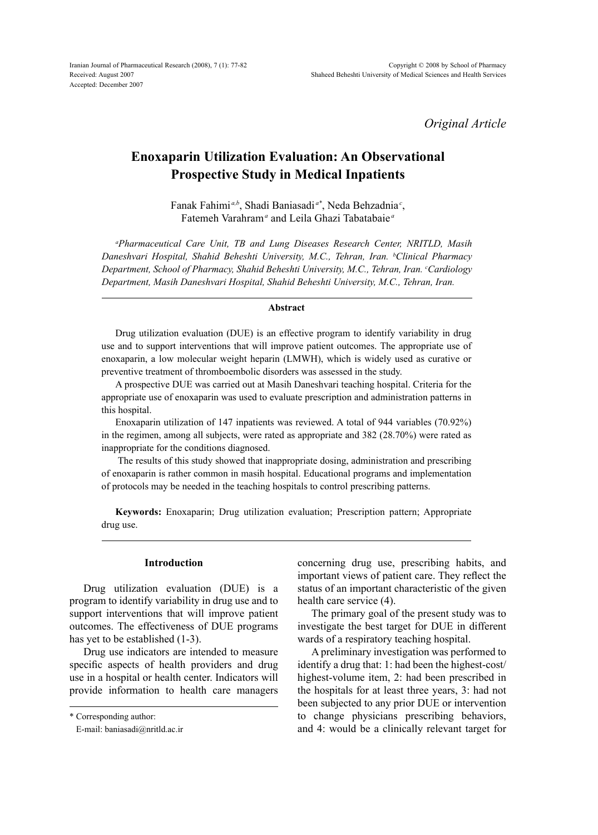*Original Article*

# **Enoxaparin Utilization Evaluation: An Observational Prospective Study in Medical Inpatients**

Fanak Fahimi *a,b*, Shadi Baniasadi *a\**, Neda Behzadnia*<sup>c</sup>* , Fatemeh Varahram*<sup>a</sup>* and Leila Ghazi Tabatabaie *<sup>a</sup>*

*a Pharmaceutical Care Unit, TB and Lung Diseases Research Center, NRITLD, Masih Daneshvari Hospital, Shahid Beheshti University, M.C., Tehran, Iran. b Clinical Pharmacy Department, School of Pharmacy, Shahid Beheshti University, M.C., Tehran, Iran. c Cardiology Department, Masih Daneshvari Hospital, Shahid Beheshti University, M.C., Tehran, Iran.*

## **Abstract**

Drug utilization evaluation (DUE) is an effective program to identify variability in drug use and to support interventions that will improve patient outcomes. The appropriate use of enoxaparin, a low molecular weight heparin (LMWH), which is widely used as curative or preventive treatment of thromboembolic disorders was assessed in the study.

A prospective DUE was carried out at Masih Daneshvari teaching hospital. Criteria for the appropriate use of enoxaparin was used to evaluate prescription and administration patterns in this hospital.

Enoxaparin utilization of 147 inpatients was reviewed. A total of 944 variables (70.92%) in the regimen, among all subjects, were rated as appropriate and 382 (28.70%) were rated as inappropriate for the conditions diagnosed.

 The results of this study showed that inappropriate dosing, administration and prescribing of enoxaparin is rather common in masih hospital. Educational programs and implementation of protocols may be needed in the teaching hospitals to control prescribing patterns.

**Keywords:** Enoxaparin; Drug utilization evaluation; Prescription pattern; Appropriate drug use.

# **Introduction**

Drug utilization evaluation (DUE) is a program to identify variability in drug use and to support interventions that will improve patient outcomes. The effectiveness of DUE programs has yet to be established (1-3).

Drug use indicators are intended to measure specific aspects of health providers and drug use in a hospital or health center. Indicators will provide information to health care managers concerning drug use, prescribing habits, and important views of patient care. They reflect the status of an important characteristic of the given health care service (4).

The primary goal of the present study was to investigate the best target for DUE in different wards of a respiratory teaching hospital.

A preliminary investigation was performed to identify a drug that: 1: had been the highest-cost/ highest-volume item, 2: had been prescribed in the hospitals for at least three years, 3: had not been subjected to any prior DUE or intervention to change physicians prescribing behaviors, and 4: would be a clinically relevant target for

<sup>\*</sup> Corresponding author:

E-mail: baniasadi@nritld.ac.ir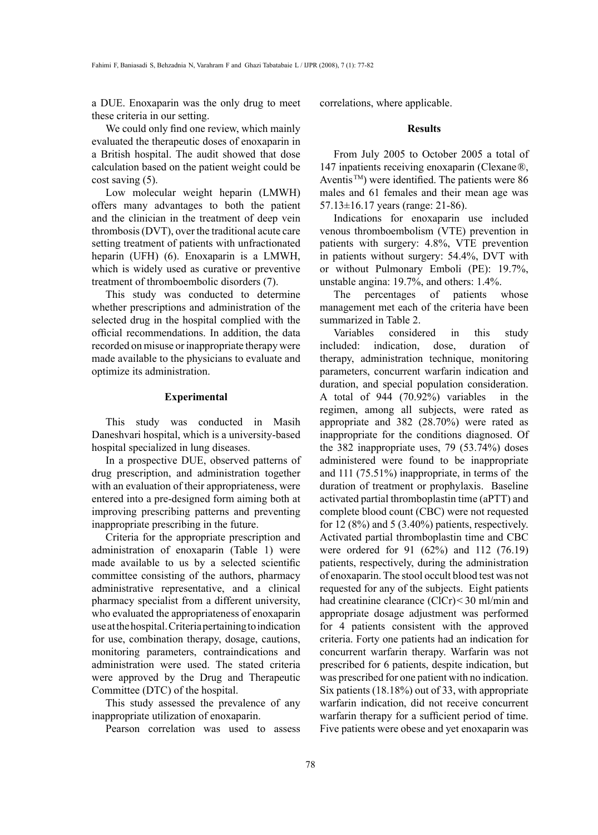a DUE. Enoxaparin was the only drug to meet these criteria in our setting.

We could only find one review, which mainly evaluated the therapeutic doses of enoxaparin in a British hospital. The audit showed that dose calculation based on the patient weight could be cost saving (5).

Low molecular weight heparin (LMWH) offers many advantages to both the patient and the clinician in the treatment of deep vein thrombosis (DVT), over the traditional acute care setting treatment of patients with unfractionated heparin (UFH) (6). Enoxaparin is a LMWH, which is widely used as curative or preventive treatment of thromboembolic disorders (7).

This study was conducted to determine whether prescriptions and administration of the selected drug in the hospital complied with the official recommendations. In addition, the data recorded on misuse or inappropriate therapy were made available to the physicians to evaluate and optimize its administration.

# **Experimental**

This study was conducted in Masih Daneshvari hospital, which is a university-based hospital specialized in lung diseases.

In a prospective DUE, observed patterns of drug prescription, and administration together with an evaluation of their appropriateness, were entered into a pre-designed form aiming both at improving prescribing patterns and preventing inappropriate prescribing in the future.

Criteria for the appropriate prescription and administration of enoxaparin (Table 1) were made available to us by a selected scientific committee consisting of the authors, pharmacy administrative representative, and a clinical pharmacy specialist from a different university, who evaluated the appropriateness of enoxaparin use at the hospital. Criteria pertaining to indication for use, combination therapy, dosage, cautions, monitoring parameters, contraindications and administration were used. The stated criteria were approved by the Drug and Therapeutic Committee (DTC) of the hospital.

This study assessed the prevalence of any inappropriate utilization of enoxaparin.

Pearson correlation was used to assess

correlations, where applicable.

# **Results**

From July 2005 to October 2005 a total of 147 inpatients receiving enoxaparin (Clexane®, Aventis<sup>™</sup>) were identified. The patients were 86 males and 61 females and their mean age was 57.13±16.17 years (range: 21-86).

Indications for enoxaparin use included venous thromboembolism (VTE) prevention in patients with surgery: 4.8%, VTE prevention in patients without surgery: 54.4%, DVT with or without Pulmonary Emboli (PE): 19.7%, unstable angina: 19.7%, and others: 1.4%.

The percentages of patients whose management met each of the criteria have been summarized in Table 2.

Variables considered in this study included: indication, dose, duration of therapy, administration technique, monitoring parameters, concurrent warfarin indication and duration, and special population consideration. A total of 944 (70.92%) variables in the regimen, among all subjects, were rated as appropriate and 382 (28.70%) were rated as inappropriate for the conditions diagnosed. Of the 382 inappropriate uses, 79 (53.74%) doses administered were found to be inappropriate and 111 (75.51%) inappropriate, in terms of the duration of treatment or prophylaxis. Baseline activated partial thromboplastin time (aPTT) and complete blood count (CBC) were not requested for  $12 (8\%)$  and  $5 (3.40\%)$  patients, respectively. Activated partial thromboplastin time and CBC were ordered for 91 (62%) and 112 (76.19) patients, respectively, during the administration of enoxaparin. The stool occult blood test was not requested for any of the subjects. Eight patients had creatinine clearance (ClCr)< 30 ml/min and appropriate dosage adjustment was performed for 4 patients consistent with the approved criteria. Forty one patients had an indication for concurrent warfarin therapy. Warfarin was not prescribed for 6 patients, despite indication, but was prescribed for one patient with no indication. Six patients (18.18%) out of 33, with appropriate warfarin indication, did not receive concurrent warfarin therapy for a sufficient period of time. Five patients were obese and yet enoxaparin was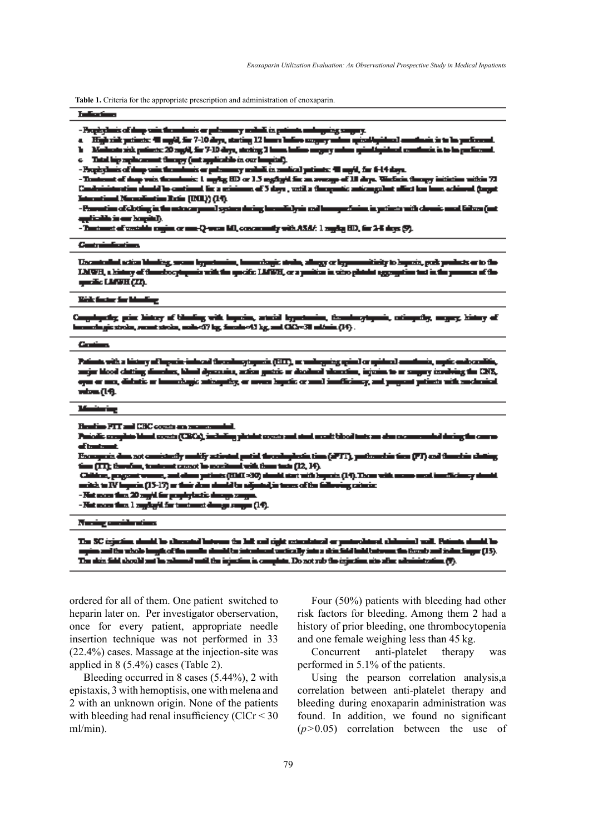**Table 1.** Criteria for the appropriate prescription and administration of enoxaparin.

### Indian Service

- Prophylanis of the posite themshores or pulsamency maked in pati مروشي والمربب

krisk policite: 40 mg/d, for 7-10 days, starling 12 kmm bullets coupley on icia to la particula  $\blacksquare$  Hz al s

rideral conditatis is to be perfected. ač. h Mathesta sick policets: 20 rag(d, for 7-10 days, steeling 2 house believe angusy and

c Third big replacement theory (ant applicable in our lampital).

nis er pulsmaney nednik in sunlical patients: 40 mg/d, for 6-14 days. - Prophylanis of dany wain through

mis 1 myly 113 or 1.5 nghyll fix an averyo of 10 days. We fix a theory initiation within 72 cont of shap win through . Thursda n should be continued. En a sciolomer of 5 skys , work a theogentic anticorgalent office law home achieved (toget فاستعد International Numerican Busine (DOI)) (14).

- Provotion of cloting in the extract point system dering beamfiely in and homogenfusion in patients with cleanic must failure (act aggliadh is an hagin).<br>- Tuatanat af weddin ray

in or non-Q-wear MI, concurrently with ASA/: 1 regring HD, for 2-8 shops (9).

### **Contraindications**

Uncontrolled action blending, seems hypotensies, homershapic strele, allergy or hypotensiticity to hoperin, push products or to the LMWH, a history of these borptogenic with the specific LMWH, or a position in who ploted aggregation test in the put ma of the gazik: LANK (23).

#### Kick factor for blanding

ngologicky, princ biotrzy of klanding with Ingeries, arterial legentennies, throudoughymeis, cationycley, angury, kistory of<br>conclugis stroke, recent stroke, make-17 kg, foreste=12 kg, and CA2=31 milions (14) . ميست

#### فستناء

Palints with a bistoy of logocie-inhead threshocytoposis (EEC), or uninguing spinal or spideral anothesis, mytic endocentitis,<br>angin blood clutting dimeters, blood dynamics, action gustric or deadered vibrasties, injuries eyn er ma, didatis er komuðugis mingulig, er neves hynlis er með innflisinsy, ant pagsast prints við meskraint **mbm** (14).

#### **Manissing**

Heating PTT and CBC counts are an

Pasiodic complete bland counts (CBCs), including plotshet counts and stand month blood tests are also come dad dening the car of instrument.

verpreis dem set consistently molify activated partial throughostic time (APTT), particumbia time (PT) and throubles clu<br>on (TT); therefore, tenterent cannot be excellent with time took (12, 14). <u> François de</u>

e potimis (1961 = 30) simult start with Engerics (14). These with a Childre, pagent we فاسب mitch to IV loyacin (15-17) or their does should be adjoined in terms of the following cateriac

- Not more than 20 regid for prophylastic decays ranges.

- Not more than  $1$  regularit for tentoment decays ranges (14).

Numing considerations

The SC injection should be alternated buts SC injection should be cheesend between the left and right consistent or protochtand shiberies) will. Puttots should be<br>as and the whole longit of the mode should be intentant workedly into a shiefield betall waves the the ٠ The skin field should not be released until the injection is complete. Do not rub the injection airs after administratio πО.

ordered for all of them. One patient switched to heparin later on. Per investigator oberservation, once for every patient, appropriate needle insertion technique was not performed in 33 (22.4%) cases. Massage at the injection-site was applied in 8 (5.4%) cases (Table 2).

Bleeding occurred in 8 cases (5.44%), 2 with epistaxis, 3 with hemoptisis, one with melena and 2 with an unknown origin. None of the patients with bleeding had renal insufficiency ( $ClCr < 30$ ) ml/min).

Four (50%) patients with bleeding had other risk factors for bleeding. Among them 2 had a history of prior bleeding, one thrombocytopenia and one female weighing less than 45 kg.

Concurrent anti-platelet therapy was performed in 5.1% of the patients.

Using the pearson correlation analysis,a correlation between anti-platelet therapy and bleeding during enoxaparin administration was found. In addition, we found no significant (*p*>0.05) correlation between the use of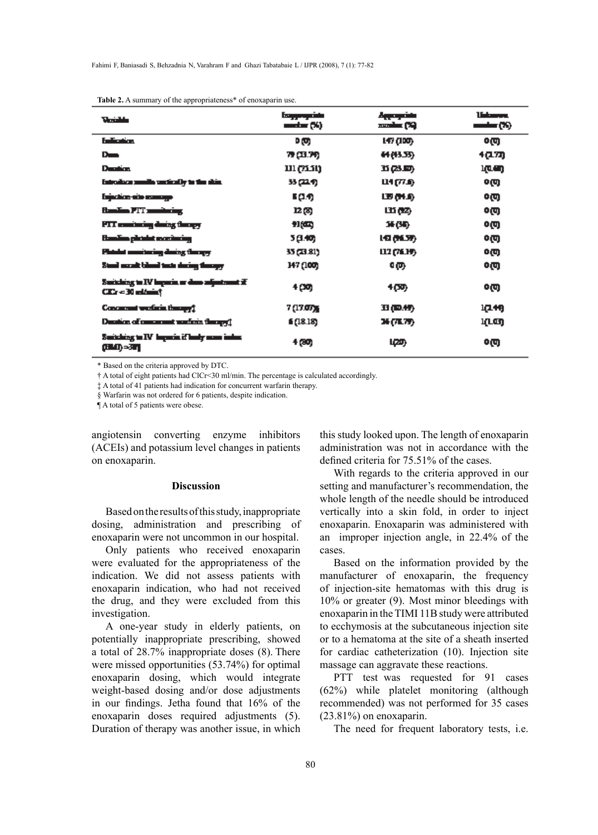| <b><i><u>Mariakhan</u></i></b>                                              | فاشتره فرجعا<br>$\text{modim}(55)$ | منفوعها<br>ولى ستحمد | <b>University</b><br>$\overline{\mathcal{O}}$ |
|-----------------------------------------------------------------------------|------------------------------------|----------------------|-----------------------------------------------|
| <b>Indication</b>                                                           | D (U)                              | L47 (100)            | ০তে                                           |
| $D_{\rm max}$                                                               | 79 (33.79)                         | <b>CCEMM</b>         | 4(1727)                                       |
| <b>Duration</b>                                                             | נובנק ונו                          | BAD.                 | in (Collin)                                   |
| introduce smalls workedly to the size.                                      | 33 (214)                           | Ц1(71)               | o@                                            |
| <b>Expedient-site example</b>                                               | - 99                               | 医骨身                  | ০তে                                           |
| <b>Banding PPF masketing</b>                                                | 12,89                              | 山西                   | o@                                            |
| PTT continuing during through                                               | 知四                                 | 36 (SB)              | ০তে                                           |
| Sandina plotalat monitoring                                                 | 3 (3.40)                           | 147 (N.S.P.)         | o@                                            |
| Platelet americating during through                                         | 35 (21.81)                         | 112 (76.19)          | οm                                            |
| Stand moost bland took dering through                                       | 147 (100)                          | ጭ                    | o@                                            |
| Such hing to IV imports or does adjustment $\vec{x}$<br>City = 30 milionist | 4 (30)                             | 4መ                   | 0M                                            |
| Concessed weekens theory (                                                  | 7 (17.07%                          | 31 (D.行)             | 17.49                                         |
| Duration of concernent markets through !!                                   | 6 (18.18)                          | 36 (78.79)           | 17.43                                         |
| Suitching to IV Imports if lasty scan index<br>(अन्ध्य)=उपा                 | 4 (30)                             | டித                  | ০তে                                           |

\* Based on the criteria approved by DTC.

† A total of eight patients had ClCr<30 ml/min. The percentage is calculated accordingly.

‡ A total of 41 patients had indication for concurrent warfarin therapy.

§ Warfarin was not ordered for 6 patients, despite indication.

¶ A total of 5 patients were obese.

angiotensin converting enzyme inhibitors (ACEIs) and potassium level changes in patients on enoxaparin.

### **Discussion**

Based on the results of this study, inappropriate dosing, administration and prescribing of enoxaparin were not uncommon in our hospital.

Only patients who received enoxaparin were evaluated for the appropriateness of the indication. We did not assess patients with enoxaparin indication, who had not received the drug, and they were excluded from this investigation.

A one-year study in elderly patients, on potentially inappropriate prescribing, showed a total of 28.7% inappropriate doses (8). There were missed opportunities (53.74%) for optimal enoxaparin dosing, which would integrate weight-based dosing and/or dose adjustments in our findings. Jetha found that 16% of the enoxaparin doses required adjustments (5). Duration of therapy was another issue, in which this study looked upon. The length of enoxaparin administration was not in accordance with the defined criteria for 75.51% of the cases.

With regards to the criteria approved in our setting and manufacturer's recommendation, the whole length of the needle should be introduced vertically into a skin fold, in order to inject enoxaparin. Enoxaparin was administered with an improper injection angle, in 22.4% of the cases.

Based on the information provided by the manufacturer of enoxaparin, the frequency of injection-site hematomas with this drug is 10% or greater (9). Most minor bleedings with enoxaparin in the TIMI 11B study were attributed to ecchymosis at the subcutaneous injection site or to a hematoma at the site of a sheath inserted for cardiac catheterization (10). Injection site massage can aggravate these reactions.

PTT test was requested for 91 cases (62%) while platelet monitoring (although recommended) was not performed for 35 cases (23.81%) on enoxaparin.

The need for frequent laboratory tests, i.e.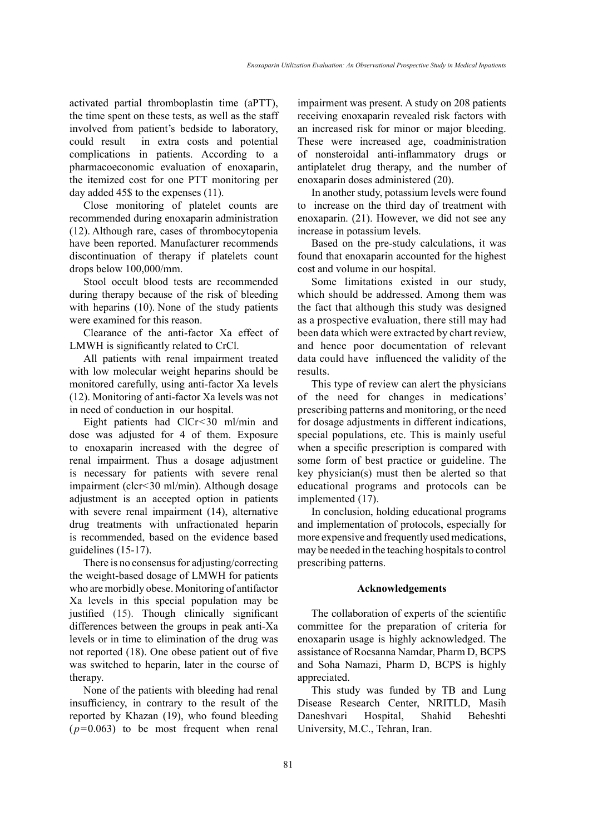activated partial thromboplastin time (aPTT), the time spent on these tests, as well as the staff involved from patient's bedside to laboratory, could result in extra costs and potential complications in patients. According to a pharmacoeconomic evaluation of enoxaparin, the itemized cost for one PTT monitoring per day added 45\$ to the expenses (11).

Close monitoring of platelet counts are recommended during enoxaparin administration (12). Although rare, cases of thrombocytopenia have been reported. Manufacturer recommends discontinuation of therapy if platelets count drops below 100,000/mm.

Stool occult blood tests are recommended during therapy because of the risk of bleeding with heparins (10). None of the study patients were examined for this reason.

Clearance of the anti-factor Xa effect of LMWH is significantly related to CrCl.

All patients with renal impairment treated with low molecular weight heparins should be monitored carefully, using anti-factor Xa levels (12). Monitoring of anti-factor Xa levels was not in need of conduction in our hospital.

Eight patients had ClCr<30 ml/min and dose was adjusted for 4 of them. Exposure to enoxaparin increased with the degree of renal impairment. Thus a dosage adjustment is necessary for patients with severe renal impairment (clcr<30 ml/min). Although dosage adjustment is an accepted option in patients with severe renal impairment (14), alternative drug treatments with unfractionated heparin is recommended, based on the evidence based guidelines (15-17).

There is no consensus for adjusting/correcting the weight-based dosage of LMWH for patients who are morbidly obese. Monitoring of antifactor Xa levels in this special population may be justified (15). Though clinically significant differences between the groups in peak anti-Xa levels or in time to elimination of the drug was not reported (18). One obese patient out of five was switched to heparin, later in the course of therapy.

None of the patients with bleeding had renal insufficiency, in contrary to the result of the reported by Khazan (19), who found bleeding  $(p=0.063)$  to be most frequent when renal impairment was present. A study on 208 patients receiving enoxaparin revealed risk factors with an increased risk for minor or major bleeding. These were increased age, coadministration of nonsteroidal anti-inflammatory drugs or antiplatelet drug therapy, and the number of enoxaparin doses administered (20).

In another study, potassium levels were found to increase on the third day of treatment with enoxaparin. (21). However, we did not see any increase in potassium levels.

Based on the pre-study calculations, it was found that enoxaparin accounted for the highest cost and volume in our hospital.

Some limitations existed in our study, which should be addressed. Among them was the fact that although this study was designed as a prospective evaluation, there still may had been data which were extracted by chart review, and hence poor documentation of relevant data could have influenced the validity of the results.

This type of review can alert the physicians of the need for changes in medications' prescribing patterns and monitoring, or the need for dosage adjustments in different indications, special populations, etc. This is mainly useful when a specific prescription is compared with some form of best practice or guideline. The key physician(s) must then be alerted so that educational programs and protocols can be implemented (17).

In conclusion, holding educational programs and implementation of protocols, especially for more expensive and frequently used medications, may be needed in the teaching hospitals to control prescribing patterns.

# **Acknowledgements**

The collaboration of experts of the scientific committee for the preparation of criteria for enoxaparin usage is highly acknowledged. The assistance of Rocsanna Namdar, Pharm D, BCPS and Soha Namazi, Pharm D, BCPS is highly appreciated.

This study was funded by TB and Lung Disease Research Center, NRITLD, Masih Daneshvari Hospital, Shahid Beheshti University, M.C., Tehran, Iran.